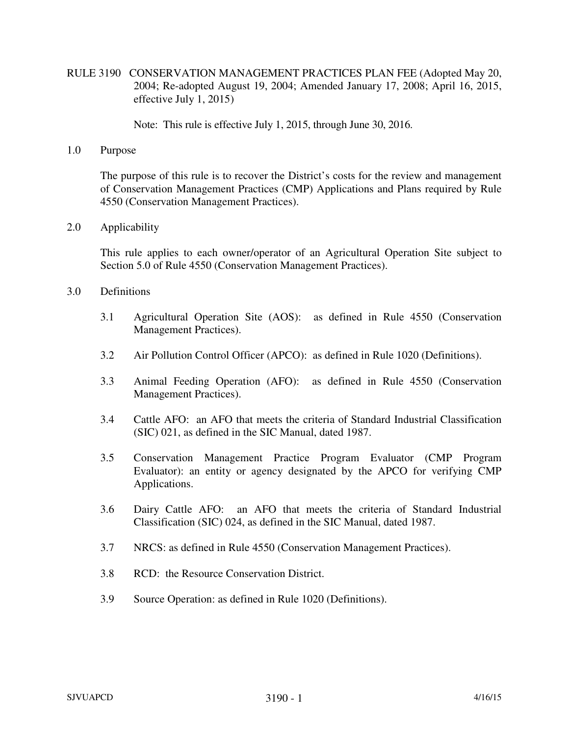RULE 3190 CONSERVATION MANAGEMENT PRACTICES PLAN FEE (Adopted May 20, 2004; Re-adopted August 19, 2004; Amended January 17, 2008; April 16, 2015, effective July 1, 2015)

Note: This rule is effective July 1, 2015, through June 30, 2016.

1.0 Purpose

The purpose of this rule is to recover the District's costs for the review and management of Conservation Management Practices (CMP) Applications and Plans required by Rule 4550 (Conservation Management Practices).

2.0 Applicability

This rule applies to each owner/operator of an Agricultural Operation Site subject to Section 5.0 of Rule 4550 (Conservation Management Practices).

- 3.0 Definitions
	- 3.1 Agricultural Operation Site (AOS): as defined in Rule 4550 (Conservation Management Practices).
	- 3.2 Air Pollution Control Officer (APCO): as defined in Rule 1020 (Definitions).
	- 3.3 Animal Feeding Operation (AFO): as defined in Rule 4550 (Conservation Management Practices).
	- 3.4 Cattle AFO: an AFO that meets the criteria of Standard Industrial Classification (SIC) 021, as defined in the SIC Manual, dated 1987.
	- 3.5 Conservation Management Practice Program Evaluator (CMP Program Evaluator): an entity or agency designated by the APCO for verifying CMP Applications.
	- 3.6 Dairy Cattle AFO: an AFO that meets the criteria of Standard Industrial Classification (SIC) 024, as defined in the SIC Manual, dated 1987.
	- 3.7 NRCS: as defined in Rule 4550 (Conservation Management Practices).
	- 3.8 RCD: the Resource Conservation District.
	- 3.9 Source Operation: as defined in Rule 1020 (Definitions).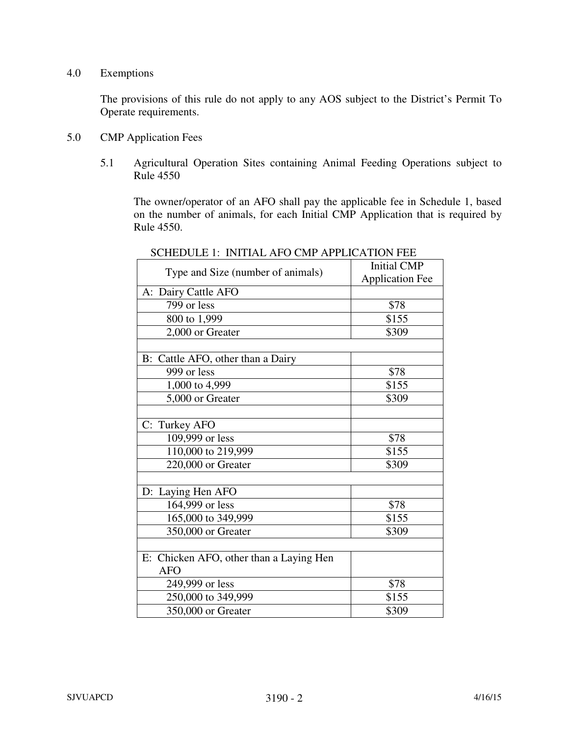## 4.0 Exemptions

The provisions of this rule do not apply to any AOS subject to the District's Permit To Operate requirements.

- 5.0 CMP Application Fees
	- 5.1 Agricultural Operation Sites containing Animal Feeding Operations subject to Rule 4550

 The owner/operator of an AFO shall pay the applicable fee in Schedule 1, based on the number of animals, for each Initial CMP Application that is required by Rule 4550.

| Type and Size (number of animals)       | <b>Initial CMP</b>     |
|-----------------------------------------|------------------------|
|                                         | <b>Application Fee</b> |
| A: Dairy Cattle AFO                     |                        |
| 799 or less                             | \$78                   |
| 800 to 1,999                            | \$155                  |
| 2,000 or Greater                        | \$309                  |
|                                         |                        |
| B: Cattle AFO, other than a Dairy       |                        |
| 999 or less                             | \$78                   |
| 1,000 to 4,999                          | \$155                  |
| 5,000 or Greater                        | \$309                  |
|                                         |                        |
| C: Turkey AFO                           |                        |
| 109,999 or less                         | \$78                   |
| 110,000 to 219,999                      | \$155                  |
| 220,000 or Greater                      | \$309                  |
|                                         |                        |
| D: Laying Hen AFO                       |                        |
| 164,999 or less                         | \$78                   |
| 165,000 to 349,999                      | \$155                  |
| 350,000 or Greater                      | \$309                  |
|                                         |                        |
| E: Chicken AFO, other than a Laying Hen |                        |
| AFO                                     |                        |
| 249,999 or less                         | \$78                   |
| 250,000 to 349,999                      | \$155                  |
| 350,000 or Greater                      | \$309                  |

SCHEDULE 1: INITIAL AFO CMP APPLICATION FEE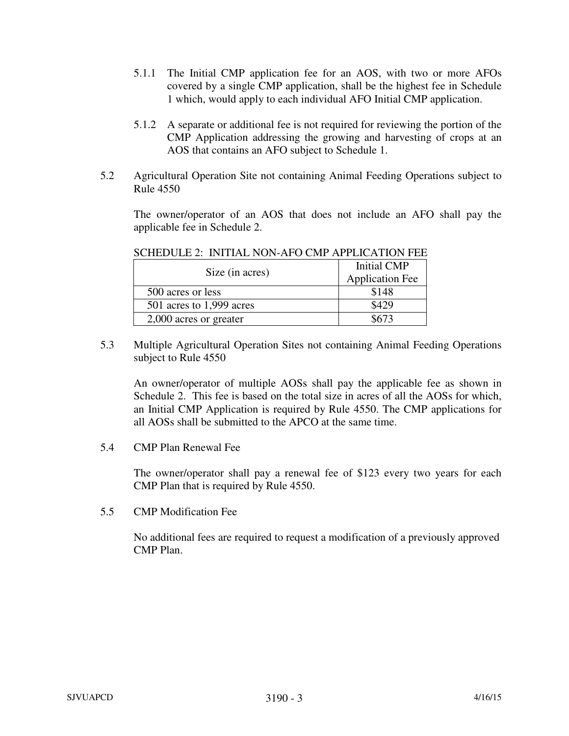- 5.1.1 The Initial CMP application fee for an AOS, with two or more AFOs covered by a single CMP application, shall be the highest fee in Schedule 1 which, would apply to each individual AFO Initial CMP application.
- 5.1.2 A separate or additional fee is not required for reviewing the portion of the CMP Application addressing the growing and harvesting of crops at an AOS that contains an AFO subject to Schedule 1.
- 5.2 Agricultural Operation Site not containing Animal Feeding Operations subject to Rule 4550

The owner/operator of an AOS that does not include an AFO shall pay the applicable fee in Schedule 2.

| Size (in acres)          | <b>Initial CMP</b><br><b>Application Fee</b> |
|--------------------------|----------------------------------------------|
| 500 acres or less        | \$148                                        |
| 501 acres to 1,999 acres | \$429                                        |
| 2,000 acres or greater   | 8673                                         |

SCHEDULE 2: INITIAL NON-AFO CMP APPLICATION FEE

5.3 Multiple Agricultural Operation Sites not containing Animal Feeding Operations subject to Rule 4550

An owner/operator of multiple AOSs shall pay the applicable fee as shown in Schedule 2. This fee is based on the total size in acres of all the AOSs for which, an Initial CMP Application is required by Rule 4550. The CMP applications for all AOSs shall be submitted to the APCO at the same time.

5.4 CMP Plan Renewal Fee

The owner/operator shall pay a renewal fee of \$123 every two years for each CMP Plan that is required by Rule 4550.

5.5 CMP Modification Fee

No additional fees are required to request a modification of a previously approved CMP Plan.